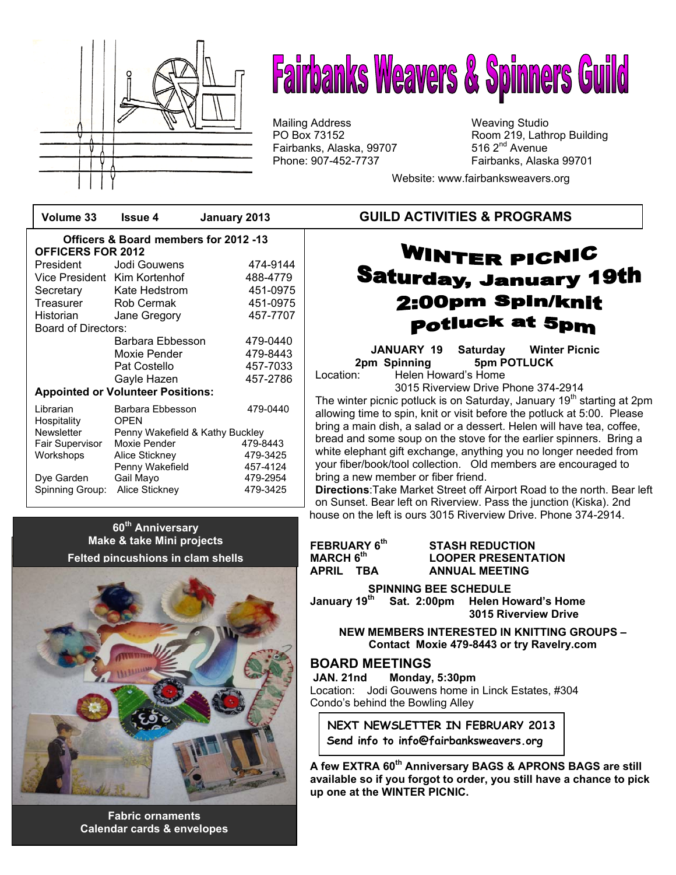

# **Fairbanks Weavers & Spinners Guild**

Mailing Address Mailing Studio<br>
PO Box 73152 May 19, Lath Fairbanks, Alaska, 99707 Phone: 907-452-7737 Fairbanks, Alaska 99701

Room 219, Lathrop Building<br>516 2<sup>nd</sup> Avenue

Website: www.fairbanksweavers.org

|                                                                   | Volume 33                                     | Issue 4                  | January 2013 |  |
|-------------------------------------------------------------------|-----------------------------------------------|--------------------------|--------------|--|
| Officers & Board members for 2012 -13<br><b>OFFICERS FOR 2012</b> |                                               |                          |              |  |
|                                                                   | President                                     | Jodi Gouwens             | 474-9144     |  |
|                                                                   | Vice President Kim Kortenhof                  |                          | 488-4779     |  |
|                                                                   | Secretary                                     | Kate Hedstrom            | 451-0975     |  |
|                                                                   | Treasurer                                     | Rob Cermak               | 451-0975     |  |
|                                                                   | Historian                                     | Jane Gregory             | 457-7707     |  |
| <b>Board of Directors:</b>                                        |                                               |                          |              |  |
|                                                                   |                                               | Barbara Ebbesson         | 479-0440     |  |
|                                                                   |                                               | Moxie Pender             | 479-8443     |  |
|                                                                   |                                               | Pat Costello             | 457-7033     |  |
|                                                                   |                                               | Gayle Hazen              | 457-2786     |  |
| <b>Appointed or Volunteer Positions:</b>                          |                                               |                          |              |  |
|                                                                   | Librarian<br>Hospitality                      | Barbara Ebbesson<br>OPFN | 479-0440     |  |
|                                                                   | Newsletter<br>Penny Wakefield & Kathy Buckley |                          |              |  |
|                                                                   | Fair Supervisor                               | Moxie Pender             | 479-8443     |  |
|                                                                   | Workshops                                     | Alice Stickney           | 479-3425     |  |
|                                                                   |                                               | Penny Wakefield          | 457-4124     |  |
|                                                                   | Dye Garden                                    | Gail Mayo                | 479-2954     |  |
|                                                                   | Spinning Group:                               | Alice Stickney           | 479-3425     |  |

# **60th Anniversary Make & take Mini projects Felted pincushions in clam shells**

**Fabric ornaments Calendar cards & envelopes** 

# **GUILD ACTIVITIES & PROGRAMS**

# WINTER PICNIC **Saturday, January 19th** 2:00pm Spin/knit **potluck at 5pm**

**JANUARY 19 Saturday Winter Picnic 2pm Spinning 5pm POTLUCK**  Location: Helen Howard's Home

3015 Riverview Drive Phone 374-2914

The winter picnic potluck is on Saturday, January 19<sup>th</sup> starting at 2pm allowing time to spin, knit or visit before the potluck at 5:00. Please bring a main dish, a salad or a dessert. Helen will have tea, coffee, bread and some soup on the stove for the earlier spinners. Bring a white elephant gift exchange, anything you no longer needed from your fiber/book/tool collection. Old members are encouraged to bring a new member or fiber friend.

**Directions**:Take Market Street off Airport Road to the north. Bear left on Sunset. Bear left on Riverview. Pass the junction (Kiska). 2nd house on the left is ours 3015 Riverview Drive. Phone 374-2914.

| FEBRUARY 6 <sup>th</sup>        | <b>STASH REDUCTION</b>     |  |
|---------------------------------|----------------------------|--|
| $\sf{MARCH}$ $\sf{6}^{\sf{th}}$ | <b>LOOPER PRESENTATION</b> |  |
| APRIL TBA                       | <b>ANNUAL MEETING</b>      |  |

**SPINNING BEE SCHEDULE**<br>January 19<sup>th</sup> Sat. 2:00pm Helen He Sat. 2:00pm Helen Howard's Home  **3015 Riverview Drive** 

**NEW MEMBERS INTERESTED IN KNITTING GROUPS – Contact Moxie 479-8443 or try Ravelry.com**

# **BOARD MEETINGS**

 **JAN. 21nd Monday, 5:30pm**  Location: Jodi Gouwens home in Linck Estates, #304 Condo's behind the Bowling Alley

**NEXT NEWSLETTER IN FEBRUARY 2013 Send info to info@fairbanksweavers.org** 

**A few EXTRA 60th Anniversary BAGS & APRONS BAGS are still available so if you forgot to order, you still have a chance to pick up one at the WINTER PICNIC.**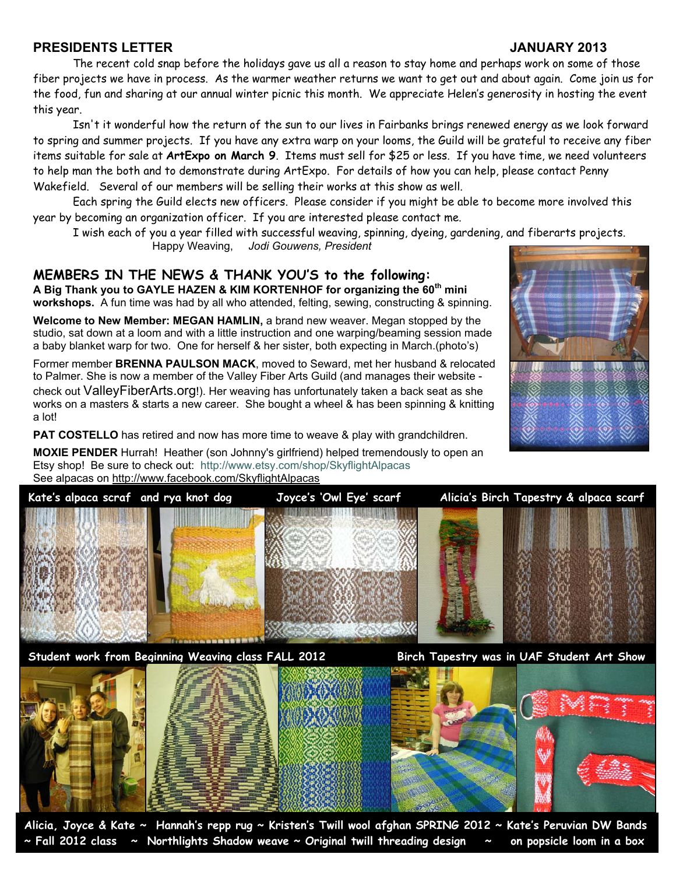# **PRESIDENTS LETTER JANUARY 2013**

 The recent cold snap before the holidays gave us all a reason to stay home and perhaps work on some of those fiber projects we have in process. As the warmer weather returns we want to get out and about again. Come join us for the food, fun and sharing at our annual winter picnic this month. We appreciate Helen's generosity in hosting the event this year.

 Isn't it wonderful how the return of the sun to our lives in Fairbanks brings renewed energy as we look forward to spring and summer projects. If you have any extra warp on your looms, the Guild will be grateful to receive any fiber items suitable for sale at **ArtExpo on March 9**. Items must sell for \$25 or less. If you have time, we need volunteers to help man the both and to demonstrate during ArtExpo. For details of how you can help, please contact Penny Wakefield. Several of our members will be selling their works at this show as well.

 Each spring the Guild elects new officers. Please consider if you might be able to become more involved this year by becoming an organization officer. If you are interested please contact me.

I wish each of you a year filled with successful weaving, spinning, dyeing, gardening, and fiberarts projects.

Happy Weaving, *Jodi Gouwens, President* 

# **MEMBERS IN THE NEWS & THANK YOU'S to the following:**

**A Big Thank you to GAYLE HAZEN & KIM KORTENHOF for organizing the 60th mini workshops.** A fun time was had by all who attended, felting, sewing, constructing & spinning.

**Welcome to New Member: MEGAN HAMLIN,** a brand new weaver. Megan stopped by the studio, sat down at a loom and with a little instruction and one warping/beaming session made a baby blanket warp for two. One for herself & her sister, both expecting in March.(photo's)

Former member **BRENNA PAULSON MACK**, moved to Seward, met her husband & relocated to Palmer. She is now a member of the Valley Fiber Arts Guild (and manages their website check out ValleyFiberArts.org!). Her weaving has unfortunately taken a back seat as she works on a masters & starts a new career. She bought a wheel & has been spinning & knitting a lot!

**PAT COSTELLO** has retired and now has more time to weave & play with grandchildren.

**MOXIE PENDER** Hurrah! Heather (son Johnny's girlfriend) helped tremendously to open an Etsy shop! Be sure to check out: http://www.etsy.com/shop/SkyflightAlpacas See alpacas on http://www.facebook.com/SkyflightAlpacas



**Student work from Beginning Weaving class FALL 2012 Birch Tapestry was in UAF Student Art Show** 



**Alicia, Joyce & Kate ~ Hannah's repp rug ~ Kristen's Twill wool afghan SPRING 2012 ~ Kate's Peruvian DW Bands ~ Fall 2012 class ~ Northlights Shadow weave ~ Original twill threading design ~ on popsicle loom in a box**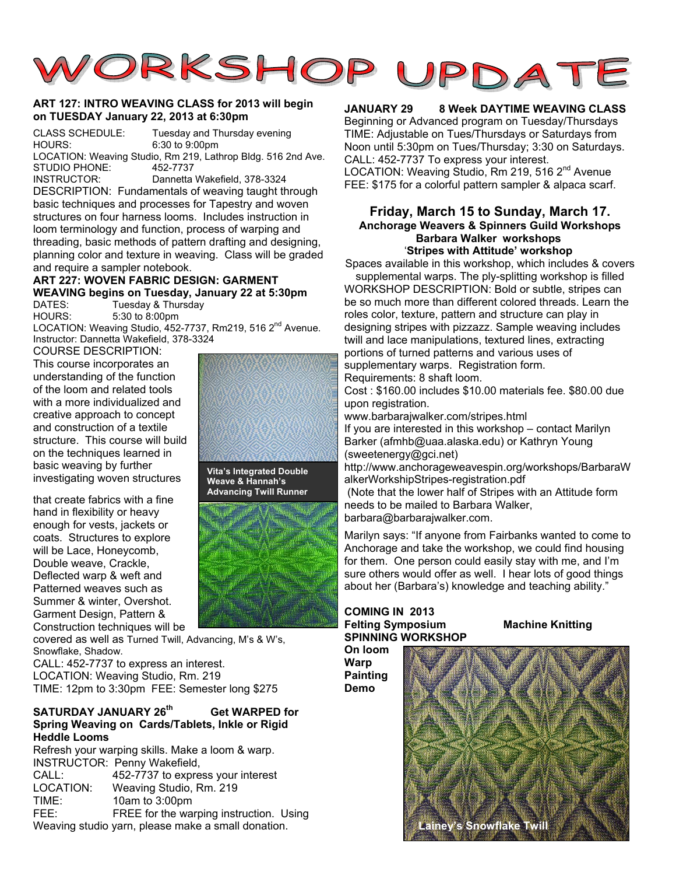

## **ART 127: INTRO WEAVING CLASS for 2013 will begin on TUESDAY January 22, 2013 at 6:30pm**

CLASS SCHEDULE: Tuesday and Thursday evening HOURS: 6:30 to 9:00pm LOCATION: Weaving Studio, Rm 219, Lathrop Bldg. 516 2nd Ave. STUDIO PHONE: 452-7737 INSTRUCTOR: Dannetta Wakefield, 378-3324

DESCRIPTION: Fundamentals of weaving taught through basic techniques and processes for Tapestry and woven structures on four harness looms. Includes instruction in loom terminology and function, process of warping and threading, basic methods of pattern drafting and designing, planning color and texture in weaving. Class will be graded and require a sampler notebook.

# **ART 227: WOVEN FABRIC DESIGN: GARMENT WEAVING begins on Tuesday, January 22 at 5:30pm**

DATES: Tuesday & Thursday<br>HOURS: 5:30 to 8:00pm 5:30 to 8:00pm LOCATION: Weaving Studio, 452-7737, Rm219, 516 2<sup>nd</sup> Avenue.

Instructor: Dannetta Wakefield, 378-3324

COURSE DESCRIPTION: This course incorporates an understanding of the function of the loom and related tools with a more individualized and creative approach to concept and construction of a textile structure. This course will build on the techniques learned in basic weaving by further investigating woven structures

that create fabrics with a fine hand in flexibility or heavy enough for vests, jackets or coats. Structures to explore will be Lace, Honeycomb, Double weave, Crackle, Deflected warp & weft and Patterned weaves such as Summer & winter, Overshot. Garment Design, Pattern & Construction techniques will be

covered as well as Turned Twill, Advancing, M's & W's, Snowflake, Shadow.

CALL: 452-7737 to express an interest. LOCATION: Weaving Studio, Rm. 219 TIME: 12pm to 3:30pm FEE: Semester long \$275

# **SATURDAY JANUARY 26th Get WARPED for Spring Weaving on Cards/Tablets, Inkle or Rigid Heddle Looms**

Refresh your warping skills. Make a loom & warp. INSTRUCTOR: Penny Wakefield, CALL: 452-7737 to express your interest LOCATION: Weaving Studio, Rm. 219 TIME: 10am to 3:00pm FEE: FREE for the warping instruction. Using Weaving studio yarn, please make a small donation.

**Vita's Integrated Double Weave & Hannah's Advancing Twill Runner** 



# **JANUARY 29 8 Week DAYTIME WEAVING CLASS**

Beginning or Advanced program on Tuesday/Thursdays TIME: Adjustable on Tues/Thursdays or Saturdays from Noon until 5:30pm on Tues/Thursday; 3:30 on Saturdays. CALL: 452-7737 To express your interest.

LOCATION: Weaving Studio, Rm 219, 516 2<sup>nd</sup> Avenue FEE: \$175 for a colorful pattern sampler & alpaca scarf.

## **Friday, March 15 to Sunday, March 17. Anchorage Weavers & Spinners Guild Workshops Barbara Walker workshops** '**Stripes with Attitude' workshop**

Spaces available in this workshop, which includes & covers supplemental warps. The ply-splitting workshop is filled

WORKSHOP DESCRIPTION: Bold or subtle, stripes can be so much more than different colored threads. Learn the roles color, texture, pattern and structure can play in designing stripes with pizzazz. Sample weaving includes twill and lace manipulations, textured lines, extracting portions of turned patterns and various uses of supplementary warps. Registration form.

Requirements: 8 shaft loom.

Cost : \$160.00 includes \$10.00 materials fee. \$80.00 due upon registration.

www.barbarajwalker.com/stripes.html

If you are interested in this workshop – contact Marilyn Barker (afmhb@uaa.alaska.edu) or Kathryn Young (sweetenergy@gci.net)

http://www.anchorageweavespin.org/workshops/BarbaraW alkerWorkshipStripes-registration.pdf

 (Note that the lower half of Stripes with an Attitude form needs to be mailed to Barbara Walker,

barbara@barbarajwalker.com.

Marilyn says: "If anyone from Fairbanks wanted to come to Anchorage and take the workshop, we could find housing for them. One person could easily stay with me, and I'm sure others would offer as well. I hear lots of good things about her (Barbara's) knowledge and teaching ability."

## **COMING IN 2013 Felting Symposium Machine Knitting SPINNING WORKSHOP**

**On loom Warp Painting Demo** 

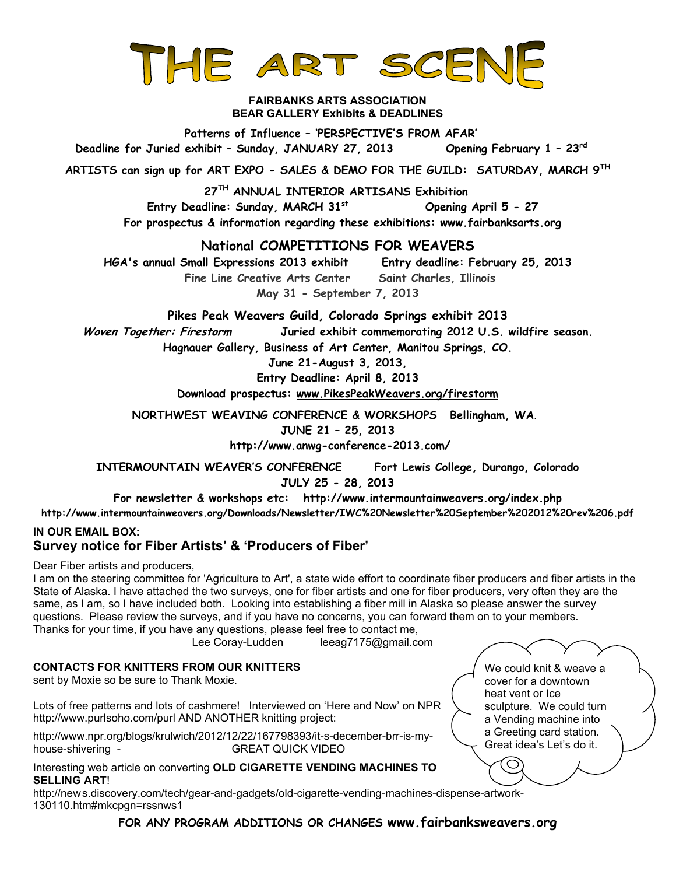

## **FAIRBANKS ARTS ASSOCIATION BEAR GALLERY Exhibits & DEADLINES**

**Patterns of Influence – 'PERSPECTIVE'S FROM AFAR' Deadline for Juried exhibit – Sunday, JANUARY 27, 2013 Opening February 1 – 23rd**

**ARTISTS can sign up for ART EXPO - SALES & DEMO FOR THE GUILD: SATURDAY, MARCH 9TH**

**27TH ANNUAL INTERIOR ARTISANS Exhibition** 

 **Entry Deadline: Sunday, MARCH 31st Opening April 5 - 27 For prospectus & information regarding these exhibitions: www.fairbanksarts.org** 

# **National COMPETITIONS FOR WEAVERS**

**HGA's annual Small Expressions 2013 exhibit Entry deadline: February 25, 2013 Fine Line Creative Arts Center Saint Charles, Illinois May 31 - September 7, 2013** 

**Pikes Peak Weavers Guild, Colorado Springs exhibit 2013** 

**Woven Together: Firestorm Juried exhibit commemorating 2012 U.S. wildfire season.** 

**Hagnauer Gallery, Business of Art Center, Manitou Springs, CO.** 

**June 21-August 3, 2013,** 

**Entry Deadline: April 8, 2013**

**Download prospectus: www.PikesPeakWeavers.org/firestorm**

**NORTHWEST WEAVING CONFERENCE & WORKSHOPS Bellingham, WA**. **JUNE 21 – 25, 2013** 

 **http://www.anwg-conference-2013.com/** 

**INTERMOUNTAIN WEAVER'S CONFERENCE Fort Lewis College, Durango, Colorado JULY 25 - 28, 2013** 

**For newsletter & workshops etc: http://www.intermountainweavers.org/index.php** 

**http://www.intermountainweavers.org/Downloads/Newsletter/IWC%20Newsletter%20September%202012%20rev%206.pdf**

# **IN OUR EMAIL BOX: Survey notice for Fiber Artists' & 'Producers of Fiber'**

Dear Fiber artists and producers,

I am on the steering committee for 'Agriculture to Art', a state wide effort to coordinate fiber producers and fiber artists in the State of Alaska. I have attached the two surveys, one for fiber artists and one for fiber producers, very often they are the same, as I am, so I have included both. Looking into establishing a fiber mill in Alaska so please answer the survey questions. Please review the surveys, and if you have no concerns, you can forward them on to your members. Thanks for your time, if you have any questions, please feel free to contact me,

Lee Coray-Ludden leeag7175@gmail.com

# **CONTACTS FOR KNITTERS FROM OUR KNITTERS**

sent by Moxie so be sure to Thank Moxie.

Lots of free patterns and lots of cashmere! Interviewed on 'Here and Now' on NPR http://www.purlsoho.com/purl AND ANOTHER knitting project:

http://www.npr.org/blogs/krulwich/2012/12/22/167798393/it-s-december-brr-is-myhouse-shivering - GREAT QUICK VIDEO

# Interesting web article on converting **OLD CIGARETTE VENDING MACHINES TO SELLING ART**!

http://news.discovery.com/tech/gear-and-gadgets/old-cigarette-vending-machines-dispense-artwork-130110.htm#mkcpgn=rssnws1

**FOR ANY PROGRAM ADDITIONS OR CHANGES www.fairbanksweavers.org**

We could knit & weave a cover for a downtown heat vent or Ice sculpture. We could turn a Vending machine into a Greeting card station. Great idea's Let's do it.